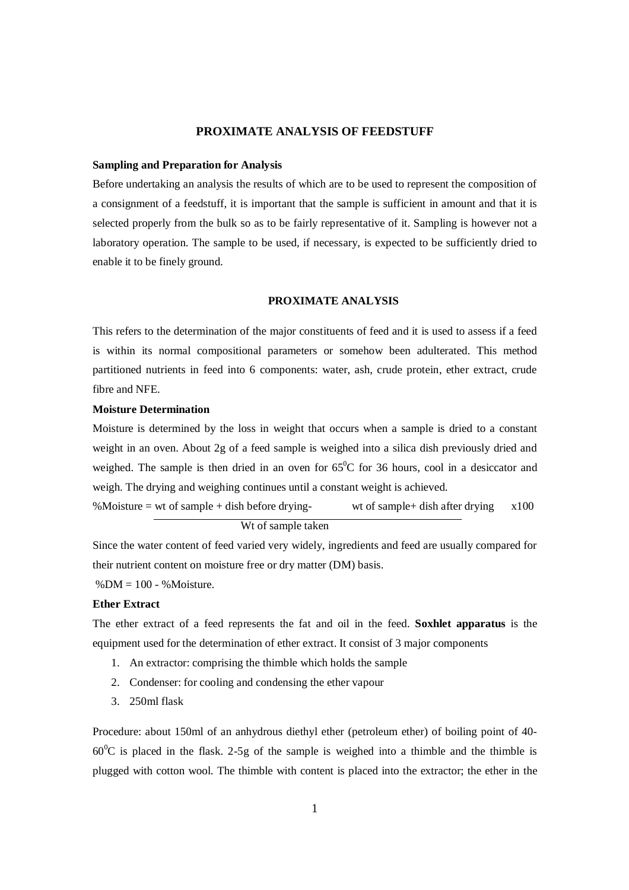## **PROXIMATE ANALYSIS OF FEEDSTUFF**

#### **Sampling and Preparation for Analysis**

Before undertaking an analysis the results of which are to be used to represent the composition of a consignment of a feedstuff, it is important that the sample is sufficient in amount and that it is selected properly from the bulk so as to be fairly representative of it. Sampling is however not a laboratory operation. The sample to be used, if necessary, is expected to be sufficiently dried to enable it to be finely ground.

#### **PROXIMATE ANALYSIS**

This refers to the determination of the major constituents of feed and it is used to assess if a feed is within its normal compositional parameters or somehow been adulterated. This method partitioned nutrients in feed into 6 components: water, ash, crude protein, ether extract, crude fibre and NFE.

#### **Moisture Determination**

Moisture is determined by the loss in weight that occurs when a sample is dried to a constant weight in an oven. About 2g of a feed sample is weighed into a silica dish previously dried and weighed. The sample is then dried in an oven for  $65^{\circ}$ C for 36 hours, cool in a desiccator and weigh. The drying and weighing continues until a constant weight is achieved.

%Moisture = wt of sample + dish before drying- wt of sample + dish after drying  $x100$ 

# Wt of sample taken

Since the water content of feed varied very widely, ingredients and feed are usually compared for their nutrient content on moisture free or dry matter (DM) basis.

 $%DM = 100 - %Moisture.$ 

#### **Ether Extract**

The ether extract of a feed represents the fat and oil in the feed. **Soxhlet apparatus** is the equipment used for the determination of ether extract. It consist of 3 major components

- 1. An extractor: comprising the thimble which holds the sample
- 2. Condenser: for cooling and condensing the ether vapour
- 3. 250ml flask

Procedure: about 150ml of an anhydrous diethyl ether (petroleum ether) of boiling point of 40-  $60^{\circ}$ C is placed in the flask. 2-5g of the sample is weighed into a thimble and the thimble is plugged with cotton wool. The thimble with content is placed into the extractor; the ether in the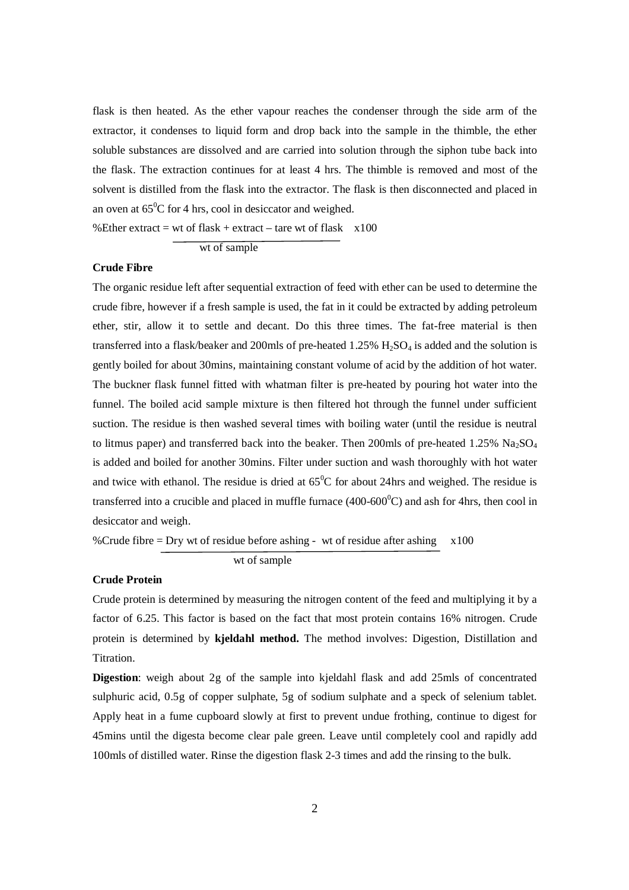flask is then heated. As the ether vapour reaches the condenser through the side arm of the extractor, it condenses to liquid form and drop back into the sample in the thimble, the ether soluble substances are dissolved and are carried into solution through the siphon tube back into the flask. The extraction continues for at least 4 hrs. The thimble is removed and most of the solvent is distilled from the flask into the extractor. The flask is then disconnected and placed in an oven at  $65^{\circ}$ C for 4 hrs, cool in desiccator and weighed.

%Ether extract = wt of flask + extract – tare wt of flask  $x100$ 

wt of sample

#### **Crude Fibre**

The organic residue left after sequential extraction of feed with ether can be used to determine the crude fibre, however if a fresh sample is used, the fat in it could be extracted by adding petroleum ether, stir, allow it to settle and decant. Do this three times. The fat-free material is then transferred into a flask/beaker and 200mls of pre-heated 1.25%  $H_2SO_4$  is added and the solution is gently boiled for about 30mins, maintaining constant volume of acid by the addition of hot water. The buckner flask funnel fitted with whatman filter is pre-heated by pouring hot water into the funnel. The boiled acid sample mixture is then filtered hot through the funnel under sufficient suction. The residue is then washed several times with boiling water (until the residue is neutral to litmus paper) and transferred back into the beaker. Then 200mls of pre-heated  $1.25\%$  Na<sub>2</sub>SO<sub>4</sub> is added and boiled for another 30mins. Filter under suction and wash thoroughly with hot water and twice with ethanol. The residue is dried at  $65^{\circ}$ C for about 24hrs and weighed. The residue is transferred into a crucible and placed in muffle furnace  $(400-600^{\circ}C)$  and ash for 4hrs, then cool in desiccator and weigh.

%Crude fibre = Dry wt of residue before ashing - wt of residue after ashing  $x100$ wt of sample

## **Crude Protein**

Crude protein is determined by measuring the nitrogen content of the feed and multiplying it by a factor of 6.25. This factor is based on the fact that most protein contains 16% nitrogen. Crude protein is determined by **kjeldahl method.** The method involves: Digestion, Distillation and Titration.

**Digestion**: weigh about 2g of the sample into kjeldahl flask and add 25mls of concentrated sulphuric acid, 0.5g of copper sulphate, 5g of sodium sulphate and a speck of selenium tablet. Apply heat in a fume cupboard slowly at first to prevent undue frothing, continue to digest for 45mins until the digesta become clear pale green. Leave until completely cool and rapidly add 100mls of distilled water. Rinse the digestion flask 2-3 times and add the rinsing to the bulk.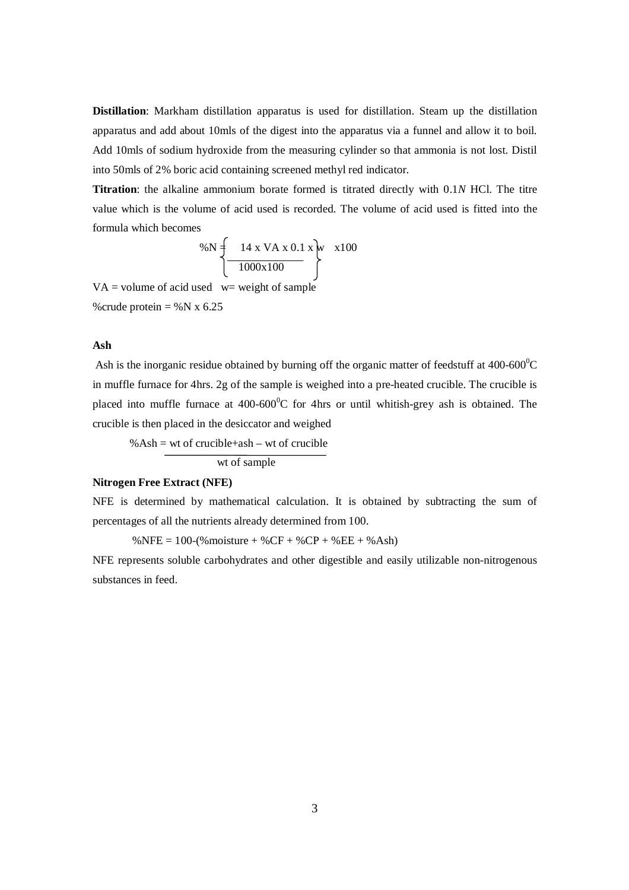**Distillation**: Markham distillation apparatus is used for distillation. Steam up the distillation apparatus and add about 10mls of the digest into the apparatus via a funnel and allow it to boil. Add 10mls of sodium hydroxide from the measuring cylinder so that ammonia is not lost. Distil into 50mls of 2% boric acid containing screened methyl red indicator.

**Titration**: the alkaline ammonium borate formed is titrated directly with 0.1*N* HCl. The titre value which is the volume of acid used is recorded. The volume of acid used is fitted into the formula which becomes

$$
\%N \neq \frac{14 \times VA \times 0.1 \times w}{1000 \times 100} \times 100
$$

 $VA = volume of acid used$  w= weight of sample % crude protein = %N x  $6.25$ 

# **Ash**

Ash is the inorganic residue obtained by burning off the organic matter of feedstuff at  $400-600^{\circ}\text{C}$ in muffle furnace for 4hrs. 2g of the sample is weighed into a pre-heated crucible. The crucible is placed into muffle furnace at  $400-600^{\circ}$ C for 4hrs or until whitish-grey ash is obtained. The crucible is then placed in the desiccator and weighed

 $% Ash = wt of crucible +ash - wt of crucible$ 

wt of sample

## **Nitrogen Free Extract (NFE)**

NFE is determined by mathematical calculation. It is obtained by subtracting the sum of percentages of all the nutrients already determined from 100.

%NFE = 100-(% moisture + %CF + %CP + %EE + %Ash)

NFE represents soluble carbohydrates and other digestible and easily utilizable non-nitrogenous substances in feed.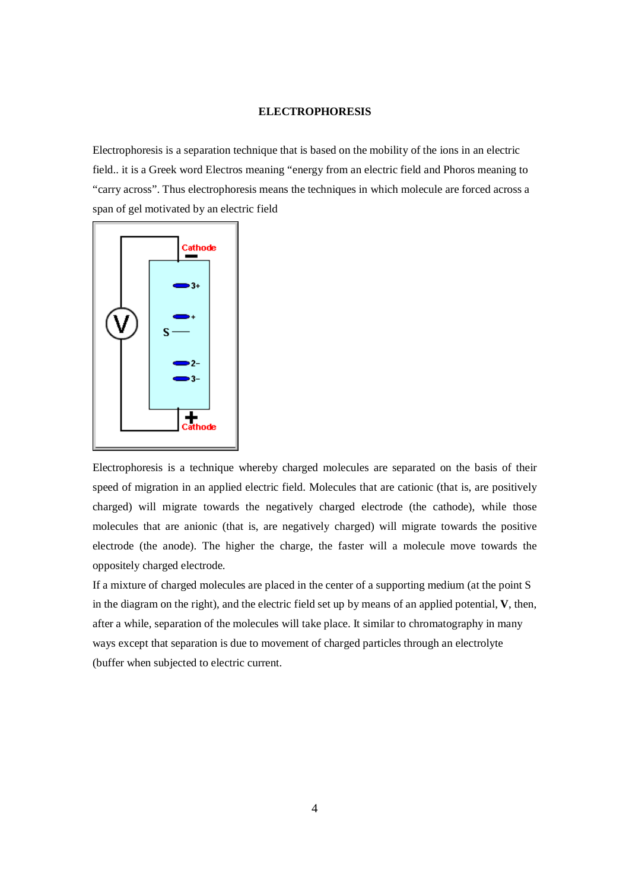# **ELECTROPHORESIS**

Electrophoresis is a separation technique that is based on the mobility of the ions in an electric field.. it is a Greek word Electros meaning "energy from an electric field and Phoros meaning to "carry across". Thus electrophoresis means the techniques in which molecule are forced across a span of gel motivated by an electric field



Electrophoresis is a technique whereby charged molecules are separated on the basis of their speed of migration in an applied electric field. Molecules that are cationic (that is, are positively charged) will migrate towards the negatively charged electrode (the cathode), while those molecules that are anionic (that is, are negatively charged) will migrate towards the positive electrode (the anode). The higher the charge, the faster will a molecule move towards the oppositely charged electrode.

If a mixture of charged molecules are placed in the center of a supporting medium (at the point S in the diagram on the right), and the electric field set up by means of an applied potential, **V**, then, after a while, separation of the molecules will take place. It similar to chromatography in many ways except that separation is due to movement of charged particles through an electrolyte (buffer when subjected to electric current.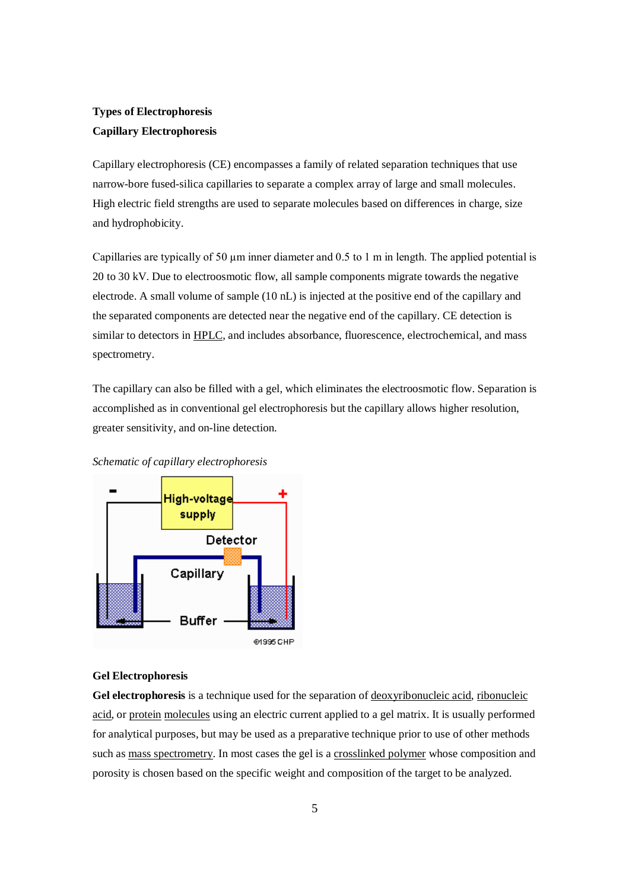# **Types of Electrophoresis Capillary Electrophoresis**

Capillary electrophoresis (CE) encompasses a family of related separation techniques that use narrow-bore fused-silica capillaries to separate a complex array of large and small molecules. High electric field strengths are used to separate molecules based on differences in charge, size and hydrophobicity.

Capillaries are typically of 50  $\mu$ m inner diameter and 0.5 to 1 m in length. The applied potential is 20 to 30 kV. Due to electroosmotic flow, all sample components migrate towards the negative electrode. A small volume of sample (10 nL) is injected at the positive end of the capillary and the separated components are detected near the negative end of the capillary. CE detection is similar to detectors in HPLC, and includes absorbance, fluorescence, electrochemical, and mass spectrometry.

The capillary can also be filled with a gel, which eliminates the electroosmotic flow. Separation is accomplished as in conventional gel electrophoresis but the capillary allows higher resolution, greater sensitivity, and on-line detection.





## **Gel Electrophoresis**

Gel electrophoresis is a technique used for the separation of <u>deoxyribonucleic acid, ribonucleic</u> acid, or protein molecules using an electric current applied to a gel matrix. It is usually performed for analytical purposes, but may be used as a preparative technique prior to use of other methods such as mass spectrometry. In most cases the gel is a crosslinked polymer whose composition and porosity is chosen based on the specific weight and composition of the target to be analyzed.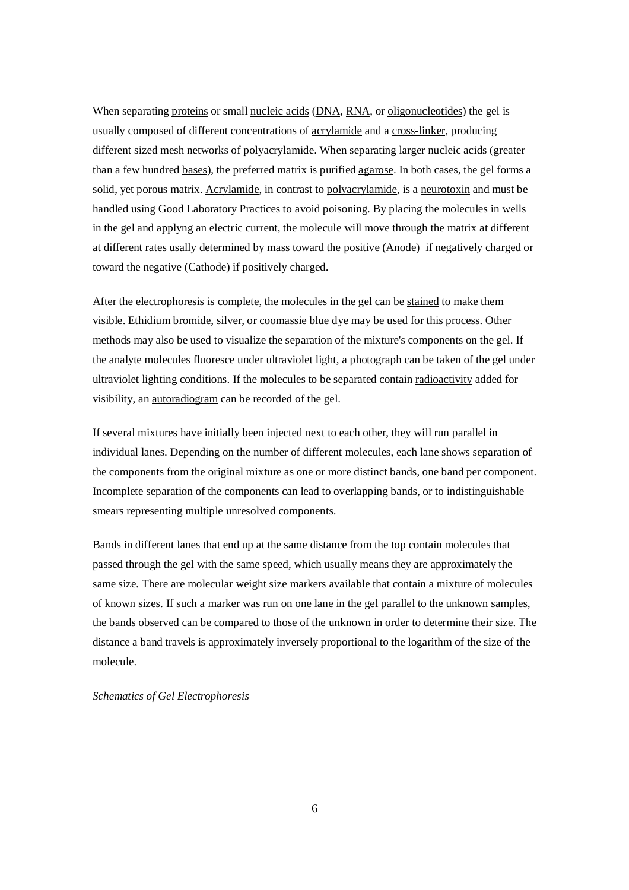When separating proteins or small nucleic acids (DNA, RNA, or oligonucleotides) the gel is usually composed of different concentrations of acrylamide and a cross-linker, producing different sized mesh networks of polyacrylamide. When separating larger nucleic acids (greater than a few hundred bases), the preferred matrix is purified agarose. In both cases, the gel forms a solid, yet porous matrix. Acrylamide, in contrast to polyacrylamide, is a neurotoxin and must be handled using Good Laboratory Practices to avoid poisoning. By placing the molecules in wells in the gel and applyng an electric current, the molecule will move through the matrix at different at different rates usally determined by mass toward the positive (Anode) if negatively charged or toward the negative (Cathode) if positively charged.

After the electrophoresis is complete, the molecules in the gel can be stained to make them visible. Ethidium bromide, silver, or coomassie blue dye may be used for this process. Other methods may also be used to visualize the separation of the mixture's components on the gel. If the analyte molecules fluoresce under ultraviolet light, a photograph can be taken of the gel under ultraviolet lighting conditions. If the molecules to be separated contain radioactivity added for visibility, an autoradiogram can be recorded of the gel.

If several mixtures have initially been injected next to each other, they will run parallel in individual lanes. Depending on the number of different molecules, each lane shows separation of the components from the original mixture as one or more distinct bands, one band per component. Incomplete separation of the components can lead to overlapping bands, or to indistinguishable smears representing multiple unresolved components.

Bands in different lanes that end up at the same distance from the top contain molecules that passed through the gel with the same speed, which usually means they are approximately the same size. There are molecular weight size markers available that contain a mixture of molecules of known sizes. If such a marker was run on one lane in the gel parallel to the unknown samples, the bands observed can be compared to those of the unknown in order to determine their size. The distance a band travels is approximately inversely proportional to the logarithm of the size of the molecule.

*Schematics of Gel Electrophoresis*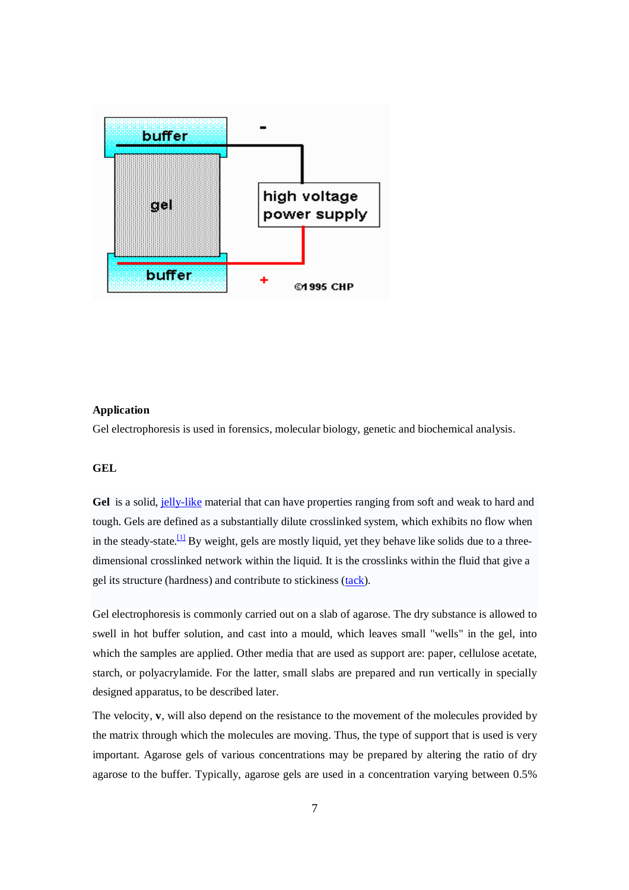

# **Application**

Gel electrophoresis is used in forensics, molecular biology, genetic and biochemical analysis.

## **GEL**

Gel is a solid, *jelly-like* material that can have properties ranging from soft and weak to hard and tough. Gels are defined as a substantially dilute crosslinked system, which exhibits no flow when in the steady-state.<sup>[1]</sup> By weight, gels are mostly liquid, yet they behave like solids due to a threedimensional crosslinked network within the liquid. It is the crosslinks within the fluid that give a gel its structure (hardness) and contribute to stickiness (tack).

Gel electrophoresis is commonly carried out on a slab of agarose. The dry substance is allowed to swell in hot buffer solution, and cast into a mould, which leaves small "wells" in the gel, into which the samples are applied. Other media that are used as support are: paper, cellulose acetate, starch, or polyacrylamide. For the latter, small slabs are prepared and run vertically in specially designed apparatus, to be described later.

The velocity, **v**, will also depend on the resistance to the movement of the molecules provided by the matrix through which the molecules are moving. Thus, the type of support that is used is very important. Agarose gels of various concentrations may be prepared by altering the ratio of dry agarose to the buffer. Typically, agarose gels are used in a concentration varying between 0.5%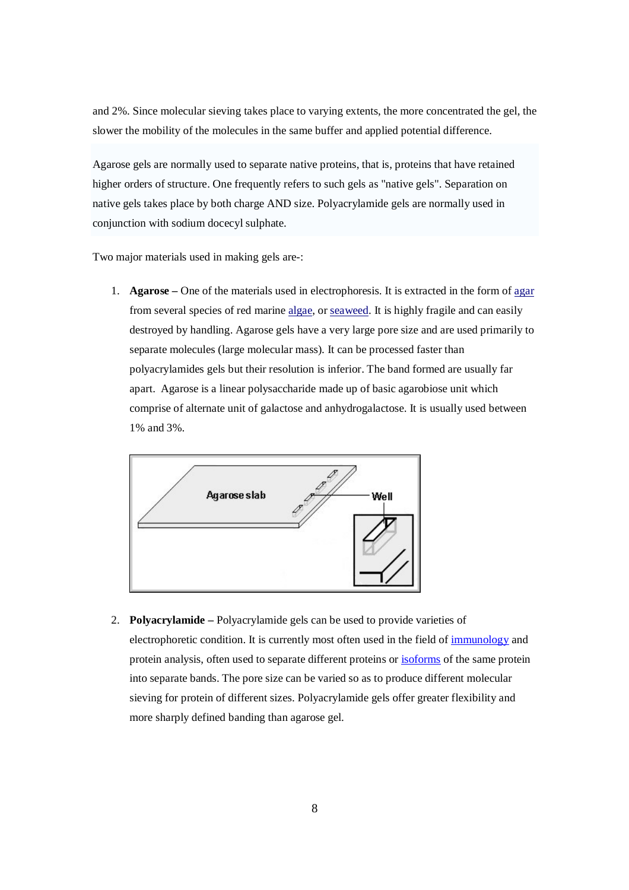and 2%. Since molecular sieving takes place to varying extents, the more concentrated the gel, the slower the mobility of the molecules in the same buffer and applied potential difference.

Agarose gels are normally used to separate native proteins, that is, proteins that have retained higher orders of structure. One frequently refers to such gels as "native gels". Separation on native gels takes place by both charge AND size. Polyacrylamide gels are normally used in conjunction with sodium docecyl sulphate.

Two major materials used in making gels are-:

1. **Agarose –** One of the materials used in electrophoresis. It is extracted in the form of agar from several species of red marine algae, or seaweed. It is highly fragile and can easily destroyed by handling. Agarose gels have a very large pore size and are used primarily to separate molecules (large molecular mass). It can be processed faster than polyacrylamides gels but their resolution is inferior. The band formed are usually far apart. Agarose is a linear polysaccharide made up of basic agarobiose unit which comprise of alternate unit of galactose and anhydrogalactose. It is usually used between 1% and 3%.



2. **Polyacrylamide –** Polyacrylamide gels can be used to provide varieties of electrophoretic condition. It is currently most often used in the field of immunology and protein analysis, often used to separate different proteins or isoforms of the same protein into separate bands. The pore size can be varied so as to produce different molecular sieving for protein of different sizes. Polyacrylamide gels offer greater flexibility and more sharply defined banding than agarose gel.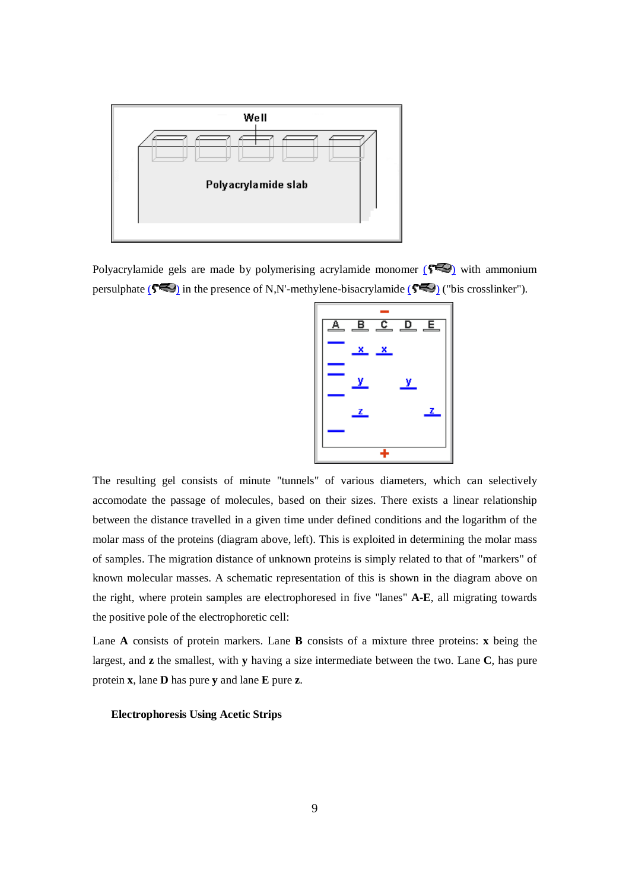

Polyacrylamide gels are made by polymerising acrylamide monomer  $(\sqrt{S_1})$  with ammonium persulphate ( $\leq$ ) in the presence of N,N'-methylene-bisacrylamide ( $\leq$ ) ("bis crosslinker").

|              | $\underline{A}$ , $\underline{B}$ , $\underline{C}$ , $\underline{D}$ , $\underline{E}$ , |
|--------------|-------------------------------------------------------------------------------------------|
| ᆇᆇ           |                                                                                           |
| У            | у                                                                                         |
| $\mathbf{z}$ | ᅩ                                                                                         |
|              |                                                                                           |
|              |                                                                                           |

The resulting gel consists of minute "tunnels" of various diameters, which can selectively accomodate the passage of molecules, based on their sizes. There exists a linear relationship between the distance travelled in a given time under defined conditions and the logarithm of the molar mass of the proteins (diagram above, left). This is exploited in determining the molar mass of samples. The migration distance of unknown proteins is simply related to that of "markers" of known molecular masses. A schematic representation of this is shown in the diagram above on the right, where protein samples are electrophoresed in five "lanes" **A-E**, all migrating towards the positive pole of the electrophoretic cell:

Lane **A** consists of protein markers. Lane **B** consists of a mixture three proteins: **x** being the largest, and **z** the smallest, with **y** having a size intermediate between the two. Lane **C**, has pure protein **x**, lane **D** has pure **y** and lane **E** pure **z**.

## **Electrophoresis Using Acetic Strips**